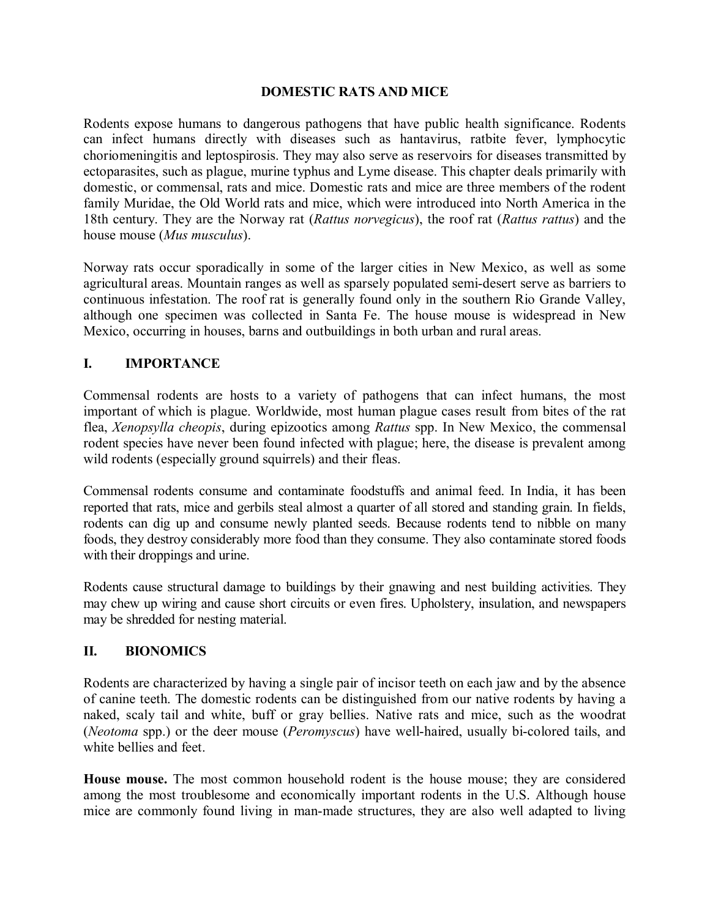#### **DOMESTIC RATS AND MICE**

Rodents expose humans to dangerous pathogens that have public health significance. Rodents can infect humans directly with diseases such as hantavirus, ratbite fever, lymphocytic choriomeningitis and leptospirosis. They may also serve as reservoirs for diseases transmitted by ectoparasites, such as plague, murine typhus and Lyme disease. This chapter deals primarily with domestic, or commensal, rats and mice. Domestic rats and mice are three members of the rodent family Muridae, the Old World rats and mice, which were introduced into North America in the 18th century. They are the Norway rat (*Rattus norvegicus*), the roof rat (*Rattus rattus*) and the house mouse (*Mus musculus*).

Norway rats occur sporadically in some of the larger cities in New Mexico, as well as some agricultural areas. Mountain ranges as well as sparsely populated semi-desert serve as barriers to continuous infestation. The roof rat is generally found only in the southern Rio Grande Valley, although one specimen was collected in Santa Fe. The house mouse is widespread in New Mexico, occurring in houses, barns and outbuildings in both urban and rural areas.

## **I. IMPORTANCE**

Commensal rodents are hosts to a variety of pathogens that can infect humans, the most important of which is plague. Worldwide, most human plague cases result from bites of the rat flea, *Xenopsylla cheopis*, during epizootics among *Rattus* spp. In New Mexico, the commensal rodent species have never been found infected with plague; here, the disease is prevalent among wild rodents (especially ground squirrels) and their fleas.

Commensal rodents consume and contaminate foodstuffs and animal feed. In India, it has been reported that rats, mice and gerbils steal almost a quarter of all stored and standing grain. In fields, rodents can dig up and consume newly planted seeds. Because rodents tend to nibble on many foods, they destroy considerably more food than they consume. They also contaminate stored foods with their droppings and urine.

Rodents cause structural damage to buildings by their gnawing and nest building activities. They may chew up wiring and cause short circuits or even fires. Upholstery, insulation, and newspapers may be shredded for nesting material.

## **II. BIONOMICS**

Rodents are characterized by having a single pair of incisor teeth on each jaw and by the absence of canine teeth. The domestic rodents can be distinguished from our native rodents by having a naked, scaly tail and white, buff or gray bellies. Native rats and mice, such as the woodrat (*Neotoma* spp.) or the deer mouse (*Peromyscus*) have well-haired, usually bi-colored tails, and white bellies and feet.

**House mouse.** The most common household rodent is the house mouse; they are considered among the most troublesome and economically important rodents in the U.S. Although house mice are commonly found living in man-made structures, they are also well adapted to living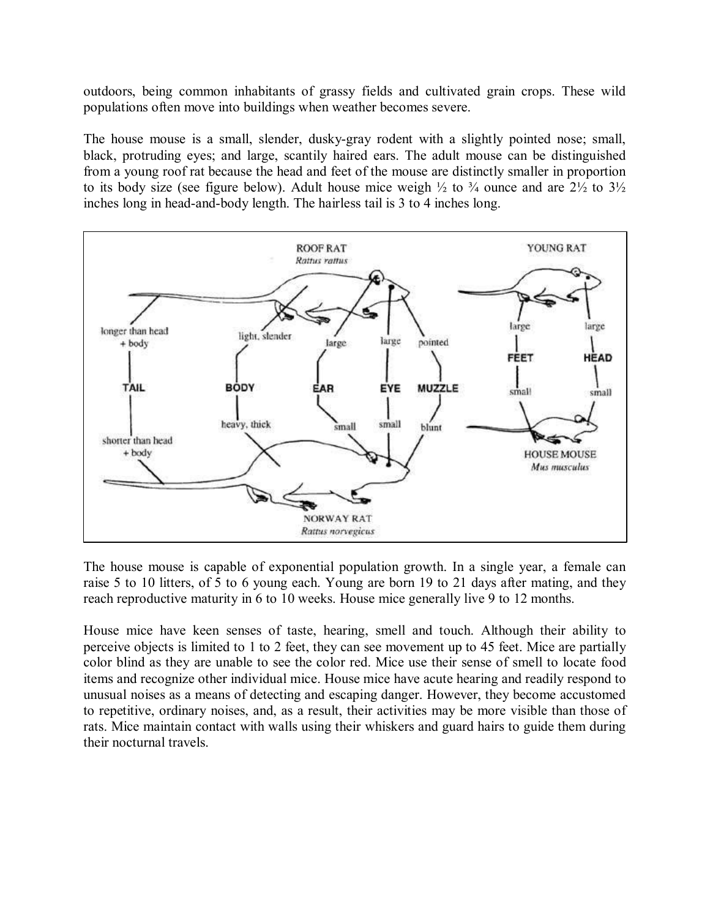outdoors, being common inhabitants of grassy fields and cultivated grain crops. These wild populations often move into buildings when weather becomes severe.

The house mouse is a small, slender, dusky-gray rodent with a slightly pointed nose; small, black, protruding eyes; and large, scantily haired ears. The adult mouse can be distinguished from a young roof rat because the head and feet of the mouse are distinctly smaller in proportion to its body size (see figure below). Adult house mice weigh  $\frac{1}{2}$  to  $\frac{3}{4}$  ounce and are  $\frac{21}{2}$  to  $\frac{31}{2}$ inches long in head-and-body length. The hairless tail is 3 to 4 inches long.



The house mouse is capable of exponential population growth. In a single year, a female can raise 5 to 10 litters, of 5 to 6 young each. Young are born 19 to 21 days after mating, and they reach reproductive maturity in 6 to 10 weeks. House mice generally live 9 to 12 months.

House mice have keen senses of taste, hearing, smell and touch. Although their ability to perceive objects is limited to 1 to 2 feet, they can see movement up to 45 feet. Mice are partially color blind as they are unable to see the color red. Mice use their sense of smell to locate food items and recognize other individual mice. House mice have acute hearing and readily respond to unusual noises as a means of detecting and escaping danger. However, they become accustomed to repetitive, ordinary noises, and, as a result, their activities may be more visible than those of rats. Mice maintain contact with walls using their whiskers and guard hairs to guide them during their nocturnal travels.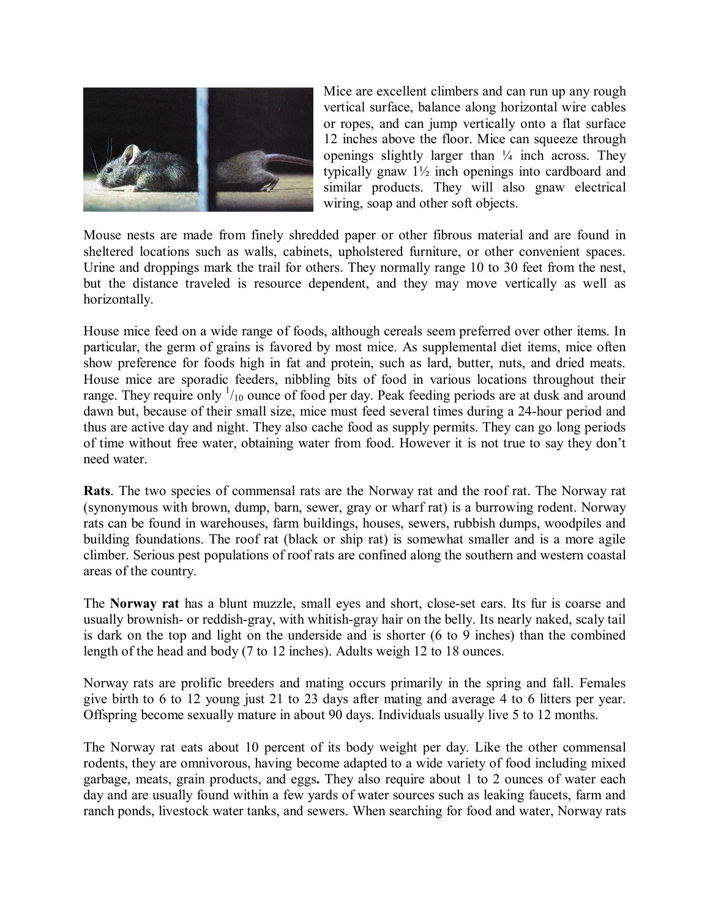

Mice are excellent climbers and can run up any rough vertical surface, balance along horizontal wire cables or ropes, and can jump vertically onto a flat surface 12 inches above the floor. Mice can squeeze through openings slightly larger than  $\frac{1}{4}$  inch across. They typically gnaw 1½ inch openings into cardboard and similar products. They will also gnaw electrical wiring, soap and other soft objects.

Mouse nests are made from finely shredded paper or other fibrous material and are found in sheltered locations such as walls, cabinets, upholstered furniture, or other convenient spaces. Urine and droppings mark the trail for others. They normally range 10 to 30 feet from the nest, but the distance traveled is resource dependent, and they may move vertically as well as horizontally.

House mice feed on a wide range of foods, although cereals seem preferred over other items. In particular, the germ of grains is favored by most mice. As supplemental diet items, mice often show preference for foods high in fat and protein, such as lard, butter, nuts, and dried meats. House mice are sporadic feeders, nibbling bits of food in various locations throughout their range. They require only  $\frac{1}{10}$  ounce of food per day. Peak feeding periods are at dusk and around dawn but, because of their small size, mice must feed several times during a 24-hour period and thus are active day and night. They also cache food as supply permits. They can go long periods of time without free water, obtaining water from food. However it is not true to say they don't need water.

**Rats**. The two species of commensal rats are the Norway rat and the roof rat. The Norway rat (synonymous with brown, dump, barn, sewer, gray or wharf rat) is a burrowing rodent. Norway rats can be found in warehouses, farm buildings, houses, sewers, rubbish dumps, woodpiles and building foundations. The roof rat (black or ship rat) is somewhat smaller and is a more agile climber. Serious pest populations of roof rats are confined along the southern and western coastal areas of the country.

The **Norway rat** has a blunt muzzle, small eyes and short, closeset ears. Its fur is coarse and usually brownish- or reddish-gray, with whitish-gray hair on the belly. Its nearly naked, scaly tail is dark on the top and light on the underside and is shorter (6 to 9 inches) than the combined length of the head and body (7 to 12 inches). Adults weigh 12 to 18 ounces.

Norway rats are prolific breeders and mating occurs primarily in the spring and fall. Females give birth to 6 to 12 young just 21 to 23 days after mating and average 4 to 6 litters per year. Offspring become sexually mature in about 90 days. Individuals usually live 5 to 12 months.

The Norway rat eats about 10 percent of its body weight per day. Like the other commensal rodents, they are omnivorous, having become adapted to a wide variety of food including mixed garbage, meats, grain products, and eggs**.** They also require about 1 to 2 ounces of water each day and are usually found within a few yards of water sources such as leaking faucets, farm and ranch ponds, livestock water tanks, and sewers. When searching for food and water, Norway rats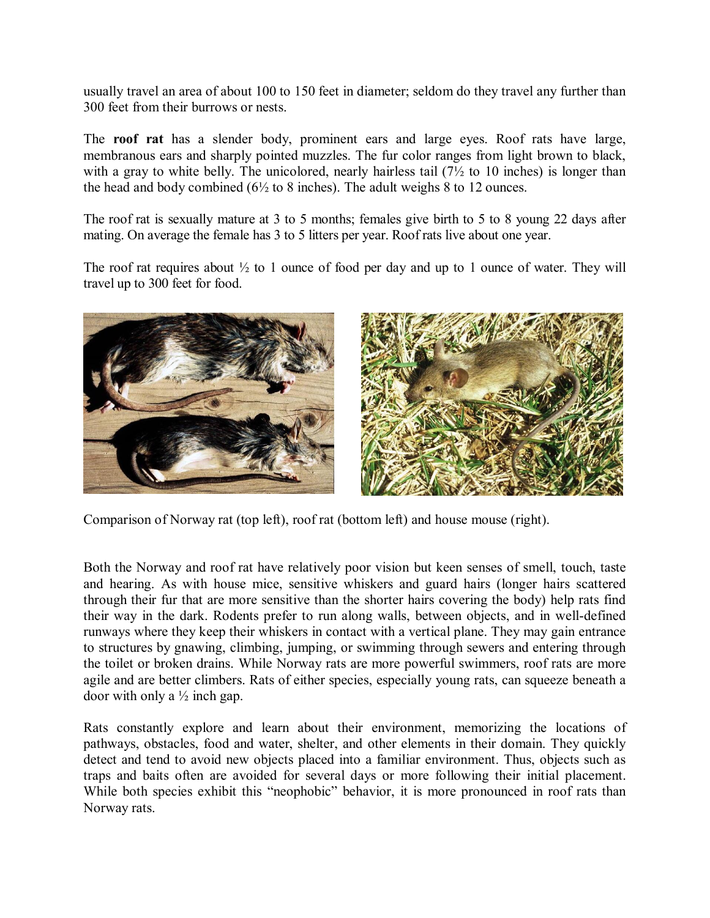usually travel an area of about 100 to 150 feet in diameter; seldom do they travel any further than 300 feet from their burrows or nests.

The **roof rat** has a slender body, prominent ears and large eyes. Roof rats have large, membranous ears and sharply pointed muzzles. The fur color ranges from light brown to black, with a gray to white belly. The unicolored, nearly hairless tail  $(7\frac{1}{2})$  to 10 inches) is longer than the head and body combined  $(6\frac{1}{2}$  to 8 inches). The adult weighs 8 to 12 ounces.

The roof rat is sexually mature at 3 to 5 months; females give birth to 5 to 8 young 22 days after mating. On average the female has 3 to 5 litters per year. Roof rats live about one year.

The roof rat requires about  $\frac{1}{2}$  to 1 ounce of food per day and up to 1 ounce of water. They will travel up to 300 feet for food.



Comparison of Norway rat (top left), roof rat (bottom left) and house mouse (right).

Both the Norway and roof rat have relatively poor vision but keen senses of smell, touch, taste and hearing. As with house mice, sensitive whiskers and guard hairs (longer hairs scattered through their fur that are more sensitive than the shorter hairs covering the body) help rats find their way in the dark. Rodents prefer to run along walls, between objects, and in well-defined runways where they keep their whiskers in contact with a vertical plane. They may gain entrance to structures by gnawing, climbing, jumping, or swimming through sewers and entering through the toilet or broken drains. While Norway rats are more powerful swimmers, roof rats are more agile and are better climbers. Rats of either species, especially young rats, can squeeze beneath a door with only a  $\frac{1}{2}$  inch gap.

Rats constantly explore and learn about their environment, memorizing the locations of pathways, obstacles, food and water, shelter, and other elements in their domain. They quickly detect and tend to avoid new objects placed into a familiar environment. Thus, objects such as traps and baits often are avoided for several days or more following their initial placement. While both species exhibit this "neophobic" behavior, it is more pronounced in roof rats than Norway rats.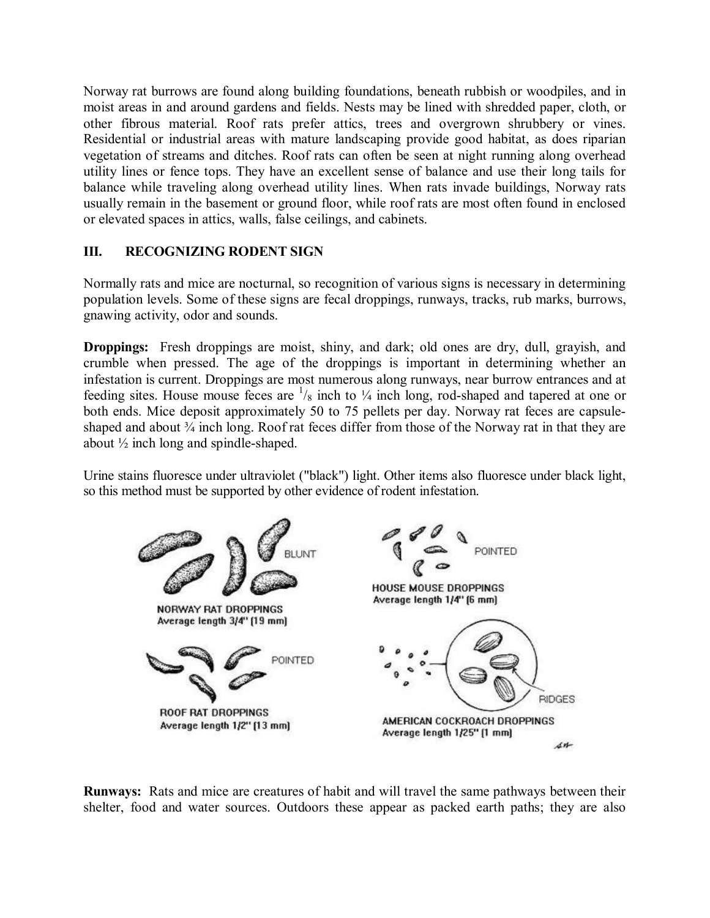Norway rat burrows are found along building foundations, beneath rubbish or woodpiles, and in moist areas in and around gardens and fields. Nests may be lined with shredded paper, cloth, or other fibrous material. Roof rats prefer attics, trees and overgrown shrubbery or vines. Residential or industrial areas with mature landscaping provide good habitat, as does riparian vegetation of streams and ditches. Roof rats can often be seen at night running along overhead utility lines or fence tops. They have an excellent sense of balance and use their long tails for balance while traveling along overhead utility lines. When rats invade buildings, Norway rats usually remain in the basement or ground floor, while roof rats are most often found in enclosed or elevated spaces in attics, walls, false ceilings, and cabinets.

## **III. RECOGNIZING RODENT SIGN**

Normally rats and mice are nocturnal, so recognition of various signs is necessary in determining population levels. Some of these signs are fecal droppings, runways, tracks, rub marks, burrows, gnawing activity, odor and sounds.

**Droppings:** Fresh droppings are moist, shiny, and dark; old ones are dry, dull, grayish, and crumble when pressed. The age of the droppings is important in determining whether an infestation is current. Droppings are most numerous along runways, near burrow entrances and at feeding sites. House mouse feces are  $\frac{1}{8}$  inch to  $\frac{1}{4}$  inch long, rod-shaped and tapered at one or both ends. Mice deposit approximately 50 to 75 pellets per day. Norway rat feces are capsuleshaped and about  $\frac{3}{4}$  inch long. Roof rat feces differ from those of the Norway rat in that they are about  $\frac{1}{2}$  inch long and spindle-shaped.

Urine stains fluoresce under ultraviolet ("black") light. Other items also fluoresce under black light, so this method must be supported by other evidence of rodent infestation.



**Runways:** Rats and mice are creatures of habit and will travel the same pathways between their shelter, food and water sources. Outdoors these appear as packed earth paths; they are also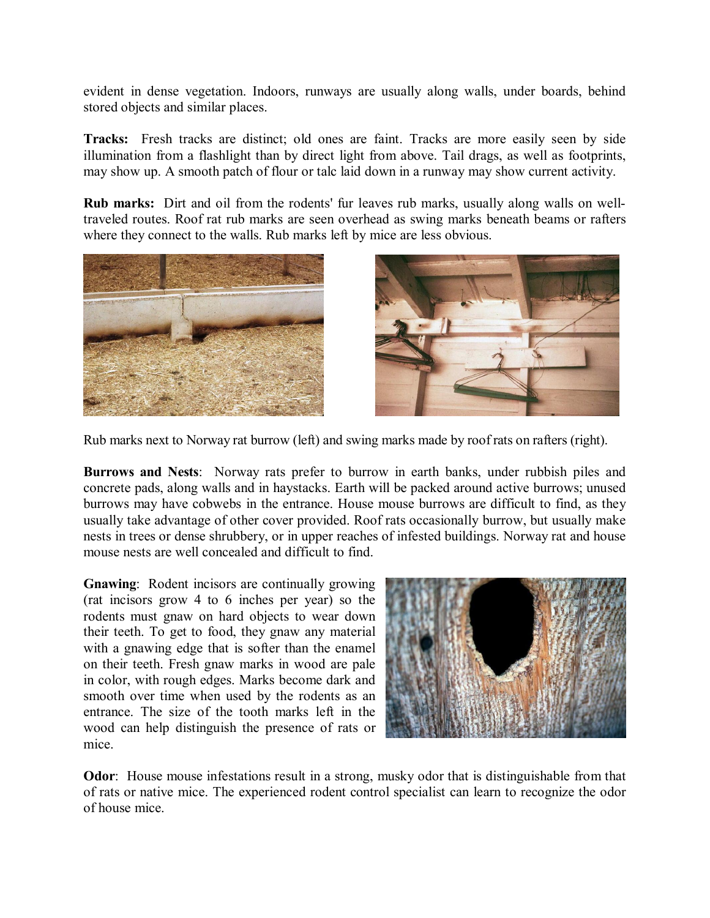evident in dense vegetation. Indoors, runways are usually along walls, under boards, behind stored objects and similar places.

**Tracks:** Fresh tracks are distinct; old ones are faint. Tracks are more easily seen by side illumination from a flashlight than by direct light from above. Tail drags, as well as footprints, may show up. A smooth patch of flour or talc laid down in a runway may show current activity.

**Rub marks:** Dirt and oil from the rodents' fur leaves rub marks, usually along walls on welltraveled routes. Roof rat rub marks are seen overhead as swing marks beneath beams or rafters where they connect to the walls. Rub marks left by mice are less obvious.





Rub marks next to Norway rat burrow (left) and swing marks made by roof rats on rafters (right).

**Burrows and Nests**: Norway rats prefer to burrow in earth banks, under rubbish piles and concrete pads, along walls and in haystacks. Earth will be packed around active burrows; unused burrows may have cobwebs in the entrance. House mouse burrows are difficult to find, as they usually take advantage of other cover provided. Roof rats occasionally burrow, but usually make nests in trees or dense shrubbery, or in upper reaches of infested buildings. Norway rat and house mouse nests are well concealed and difficult to find.

**Gnawing**: Rodent incisors are continually growing (rat incisors grow 4 to 6 inches per year) so the rodents must gnaw on hard objects to wear down their teeth. To get to food, they gnaw any material with a gnawing edge that is softer than the enamel on their teeth. Fresh gnaw marks in wood are pale in color, with rough edges. Marks become dark and smooth over time when used by the rodents as an entrance. The size of the tooth marks left in the wood can help distinguish the presence of rats or mice.



**Odor**: House mouse infestations result in a strong, musky odor that is distinguishable from that of rats or native mice. The experienced rodent control specialist can learn to recognize the odor of house mice.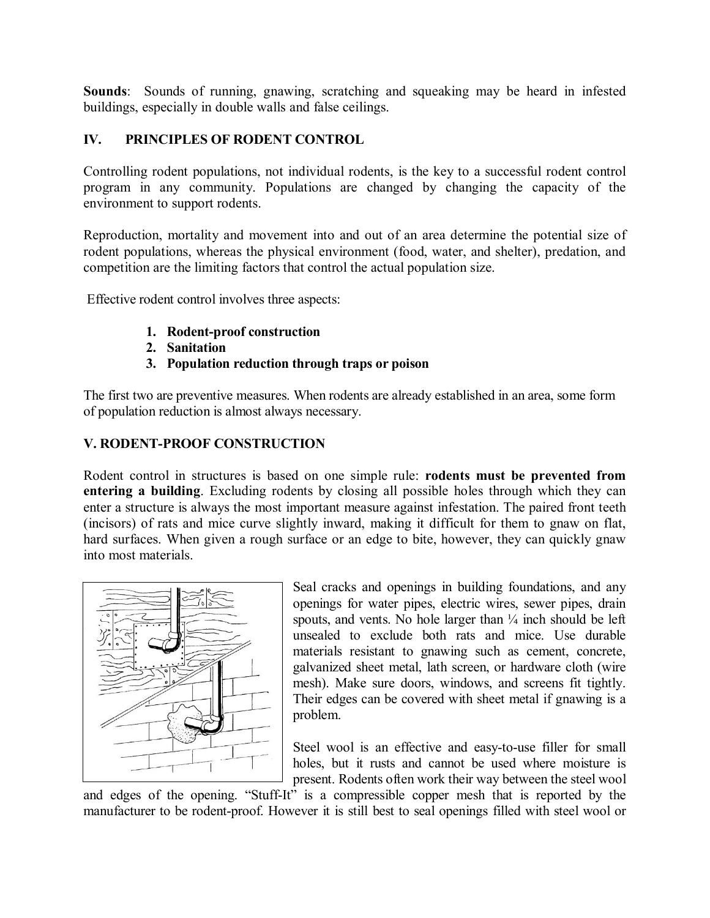**Sounds**: Sounds of running, gnawing, scratching and squeaking may be heard in infested buildings, especially in double walls and false ceilings.

## **IV. PRINCIPLES OF RODENT CONTROL**

Controlling rodent populations, not individual rodents, is the key to a successful rodent control program in any community. Populations are changed by changing the capacity of the environment to support rodents.

Reproduction, mortality and movement into and out of an area determine the potential size of rodent populations, whereas the physical environment (food, water, and shelter), predation, and competition are the limiting factors that control the actual population size.

Effective rodent control involves three aspects:

- **1.** Rodent-proof construction
- **2. Sanitation**
- **3. Population reduction through traps or poison**

The first two are preventive measures. When rodents are already established in an area, some form of population reduction is almost always necessary.

# **V. RODENT-PROOF CONSTRUCTION**

Rodent control in structures is based on one simple rule: **rodents must be prevented from entering a building**. Excluding rodents by closing all possible holes through which they can enter a structure is always the most important measure against infestation. The paired front teeth (incisors) of rats and mice curve slightly inward, making it difficult for them to gnaw on flat, hard surfaces. When given a rough surface or an edge to bite, however, they can quickly gnaw into most materials.



Seal cracks and openings in building foundations, and any openings for water pipes, electric wires, sewer pipes, drain spouts, and vents. No hole larger than  $\frac{1}{4}$  inch should be left unsealed to exclude both rats and mice. Use durable materials resistant to gnawing such as cement, concrete, galvanized sheet metal, lath screen, or hardware cloth (wire mesh). Make sure doors, windows, and screens fit tightly. Their edges can be covered with sheet metal if gnawing is a problem.

Steel wool is an effective and easy-to-use filler for small holes, but it rusts and cannot be used where moisture is present. Rodents often work their way between the steel wool

and edges of the opening. "Stuff-It" is a compressible copper mesh that is reported by the manufacturer to be rodent-proof. However it is still best to seal openings filled with steel wool or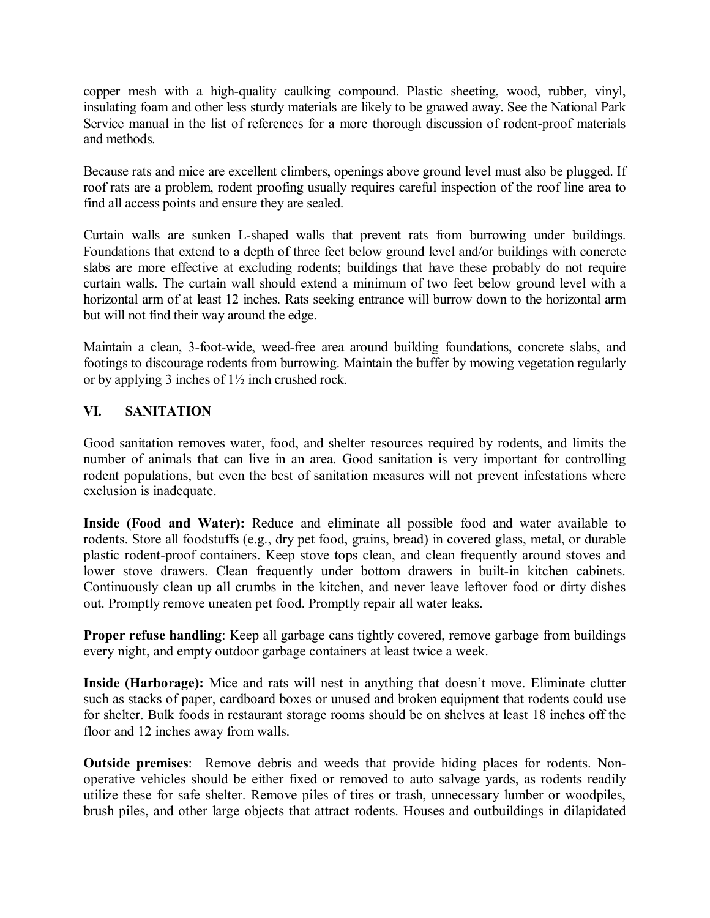copper mesh with a high-quality caulking compound. Plastic sheeting, wood, rubber, vinyl, insulating foam and other less sturdy materials are likely to be gnawed away. See the National Park Service manual in the list of references for a more thorough discussion of rodent-proof materials and methods.

Because rats and mice are excellent climbers, openings above ground level must also be plugged. If roof rats are a problem, rodent proofing usually requires careful inspection of the roof line area to find all access points and ensure they are sealed.

Curtain walls are sunken L-shaped walls that prevent rats from burrowing under buildings. Foundations that extend to a depth of three feet below ground level and/or buildings with concrete slabs are more effective at excluding rodents; buildings that have these probably do not require curtain walls. The curtain wall should extend a minimum of two feet below ground level with a horizontal arm of at least 12 inches. Rats seeking entrance will burrow down to the horizontal arm but will not find their way around the edge.

Maintain a clean, 3-foot-wide, weed-free area around building foundations, concrete slabs, and footings to discourage rodents from burrowing. Maintain the buffer by mowing vegetation regularly or by applying 3 inches of 1½ inch crushed rock.

# **VI. SANITATION**

Good sanitation removes water, food, and shelter resources required by rodents, and limits the number of animals that can live in an area. Good sanitation is very important for controlling rodent populations, but even the best of sanitation measures will not prevent infestations where exclusion is inadequate.

**Inside (Food and Water):** Reduce and eliminate all possible food and water available to rodents. Store all foodstuffs (e.g., dry pet food, grains, bread) in covered glass, metal, or durable plastic rodent-proof containers. Keep stove tops clean, and clean frequently around stoves and lower stove drawers. Clean frequently under bottom drawers in built-in kitchen cabinets. Continuously clean up all crumbs in the kitchen, and never leave leftover food or dirty dishes out. Promptly remove uneaten pet food. Promptly repair all water leaks.

**Proper refuse handling**: Keep all garbage cans tightly covered, remove garbage from buildings every night, and empty outdoor garbage containers at least twice a week.

**Inside (Harborage):** Mice and rats will nest in anything that doesn't move. Eliminate clutter such as stacks of paper, cardboard boxes or unused and broken equipment that rodents could use for shelter. Bulk foods in restaurant storage rooms should be on shelves at least 18 inches off the floor and 12 inches away from walls.

**Outside premises**: Remove debris and weeds that provide hiding places for rodents. Nonoperative vehicles should be either fixed or removed to auto salvage yards, as rodents readily utilize these for safe shelter. Remove piles of tires or trash, unnecessary lumber or woodpiles, brush piles, and other large objects that attract rodents. Houses and outbuildings in dilapidated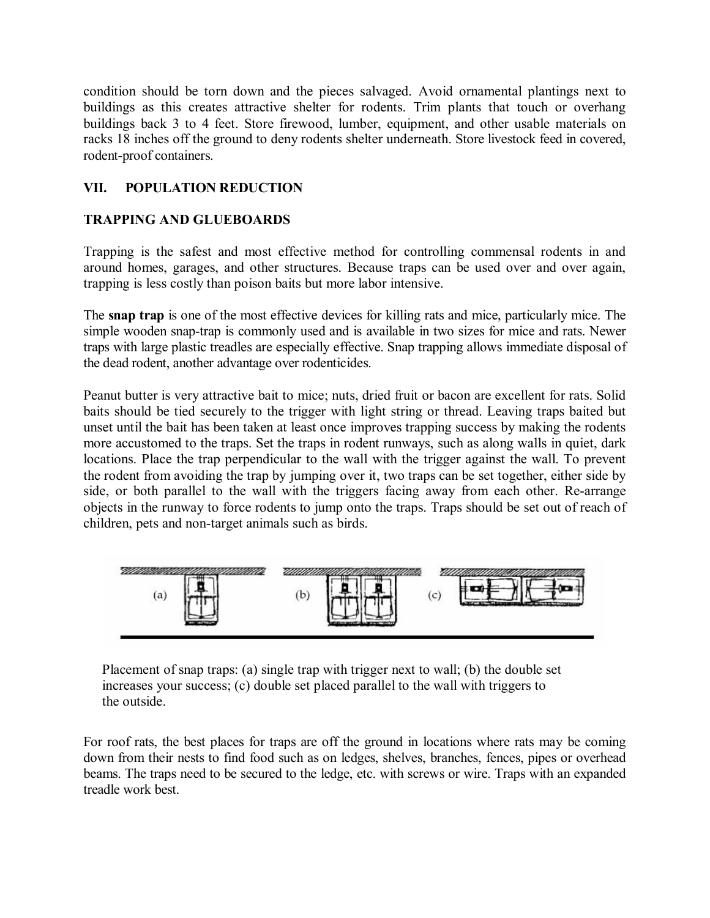condition should be torn down and the pieces salvaged. Avoid ornamental plantings next to buildings as this creates attractive shelter for rodents. Trim plants that touch or overhang buildings back 3 to 4 feet. Store firewood, lumber, equipment, and other usable materials on racks 18 inches off the ground to deny rodents shelter underneath. Store livestock feed in covered, rodent-proof containers.

# **VII. POPULATION REDUCTION**

# **TRAPPING AND GLUEBOARDS**

Trapping is the safest and most effective method for controlling commensal rodents in and around homes, garages, and other structures. Because traps can be used over and over again, trapping is less costly than poison baits but more labor intensive.

The **snap trap** is one of the most effective devices for killing rats and mice, particularly mice. The simple wooden snap-trap is commonly used and is available in two sizes for mice and rats. Newer traps with large plastic treadles are especially effective. Snap trapping allows immediate disposal of the dead rodent, another advantage over rodenticides.

Peanut butter is very attractive bait to mice; nuts, dried fruit or bacon are excellent for rats. Solid baits should be tied securely to the trigger with light string or thread. Leaving traps baited but unset until the bait has been taken at least once improves trapping success by making the rodents more accustomed to the traps. Set the traps in rodent runways, such as along walls in quiet, dark locations. Place the trap perpendicular to the wall with the trigger against the wall. To prevent the rodent from avoiding the trap by jumping over it, two traps can be set together, either side by side, or both parallel to the wall with the triggers facing away from each other. Re-arrange objects in the runway to force rodents to jump onto the traps. Traps should be set out of reach of children, pets and non-target animals such as birds.



Placement of snap traps: (a) single trap with trigger next to wall; (b) the double set increases your success; (c) double set placed parallel to the wall with triggers to the outside.

For roof rats, the best places for traps are off the ground in locations where rats may be coming down from their nests to find food such as on ledges, shelves, branches, fences, pipes or overhead beams. The traps need to be secured to the ledge, etc. with screws or wire. Traps with an expanded treadle work best.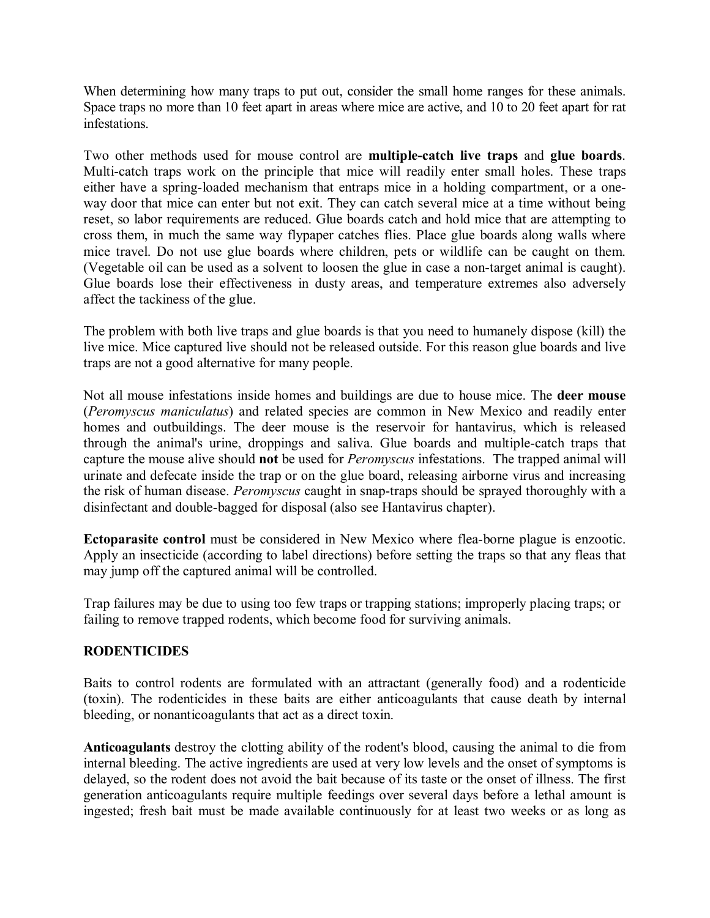When determining how many traps to put out, consider the small home ranges for these animals. Space traps no more than 10 feet apart in areas where mice are active, and 10 to 20 feet apart for rat infestations.

Two other methods used for mouse control are **multiplecatch live traps** and **glue boards**. Multi-catch traps work on the principle that mice will readily enter small holes. These traps either have a spring-loaded mechanism that entraps mice in a holding compartment, or a oneway door that mice can enter but not exit. They can catch several mice at a time without being reset, so labor requirements are reduced. Glue boards catch and hold mice that are attempting to cross them, in much the same way flypaper catches flies. Place glue boards along walls where mice travel. Do not use glue boards where children, pets or wildlife can be caught on them. (Vegetable oil can be used as a solvent to loosen the glue in case a non-target animal is caught). Glue boards lose their effectiveness in dusty areas, and temperature extremes also adversely affect the tackiness of the glue.

The problem with both live traps and glue boards is that you need to humanely dispose (kill) the live mice. Mice captured live should not be released outside. For this reason glue boards and live traps are not a good alternative for many people.

Not all mouse infestations inside homes and buildings are due to house mice. The **deer mouse** (*Peromyscus maniculatus*) and related species are common in New Mexico and readily enter homes and outbuildings. The deer mouse is the reservoir for hantavirus, which is released through the animal's urine, droppings and saliva. Glue boards and multiplecatch traps that capture the mouse alive should **not** be used for *Peromyscus* infestations. The trapped animal will urinate and defecate inside the trap or on the glue board, releasing airborne virus and increasing the risk of human disease. *Peromyscus* caught in snap-traps should be sprayed thoroughly with a disinfectant and double-bagged for disposal (also see Hantavirus chapter).

**Ectoparasite control** must be considered in New Mexico where fleaborne plague is enzootic. Apply an insecticide (according to label directions) before setting the traps so that any fleas that may jump off the captured animal will be controlled.

Trap failures may be due to using too few traps or trapping stations; improperly placing traps; or failing to remove trapped rodents, which become food for surviving animals.

#### **RODENTICIDES**

Baits to control rodents are formulated with an attractant (generally food) and a rodenticide (toxin). The rodenticides in these baits are either anticoagulants that cause death by internal bleeding, or nonanticoagulants that act as a direct toxin.

**Anticoagulants** destroy the clotting ability of the rodent's blood, causing the animal to die from internal bleeding. The active ingredients are used at very low levels and the onset of symptoms is delayed, so the rodent does not avoid the bait because of its taste or the onset of illness. The first generation anticoagulants require multiple feedings over several days before a lethal amount is ingested; fresh bait must be made available continuously for at least two weeks or as long as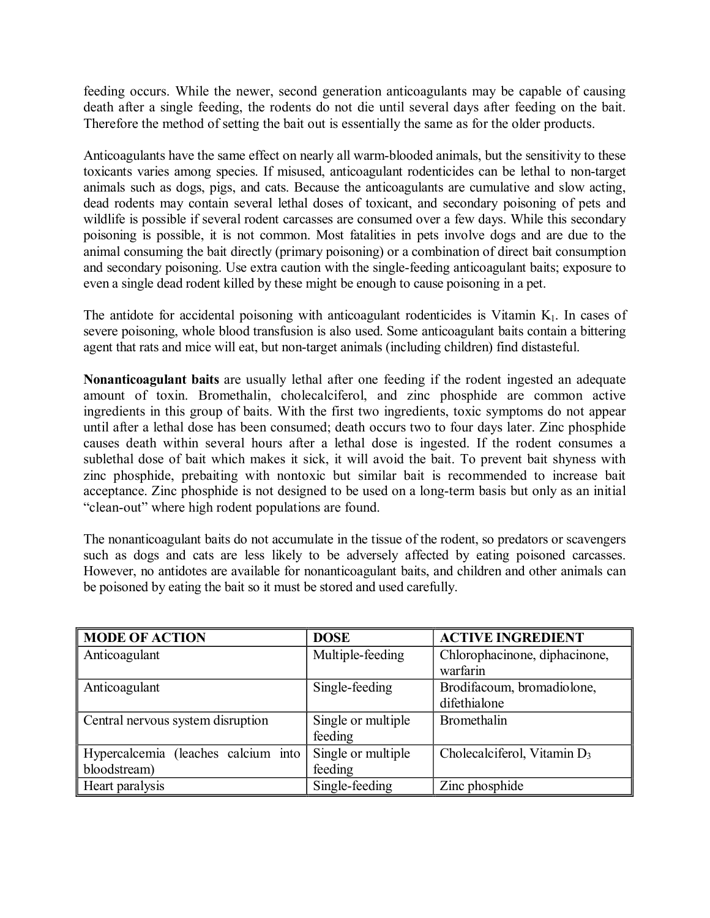feeding occurs. While the newer, second generation anticoagulants may be capable of causing death after a single feeding, the rodents do not die until several days after feeding on the bait. Therefore the method of setting the bait out is essentially the same as for the older products.

Anticoagulants have the same effect on nearly all warm-blooded animals, but the sensitivity to these toxicants varies among species. If misused, anticoagulant rodenticides can be lethal to nontarget animals such as dogs, pigs, and cats. Because the anticoagulants are cumulative and slow acting, dead rodents may contain several lethal doses of toxicant, and secondary poisoning of pets and wildlife is possible if several rodent carcasses are consumed over a few days. While this secondary poisoning is possible, it is not common. Most fatalities in pets involve dogs and are due to the animal consuming the bait directly (primary poisoning) or a combination of direct bait consumption and secondary poisoning. Use extra caution with the single-feeding anticoagulant baits; exposure to even a single dead rodent killed by these might be enough to cause poisoning in a pet.

The antidote for accidental poisoning with anticoagulant rodenticides is Vitamin  $K<sub>1</sub>$ . In cases of severe poisoning, whole blood transfusion is also used. Some anticoagulant baits contain a bittering agent that rats and mice will eat, but non-target animals (including children) find distasteful.

**Nonanticoagulant baits** are usually lethal after one feeding if the rodent ingested an adequate amount of toxin. Bromethalin, cholecalciferol, and zinc phosphide are common active ingredients in this group of baits. With the first two ingredients, toxic symptoms do not appear until after a lethal dose has been consumed; death occurs two to four days later. Zinc phosphide causes death within several hours after a lethal dose is ingested. If the rodent consumes a sublethal dose of bait which makes it sick, it will avoid the bait. To prevent bait shyness with zinc phosphide, prebaiting with nontoxic but similar bait is recommended to increase bait acceptance. Zinc phosphide is not designed to be used on a long-term basis but only as an initial "clean-out" where high rodent populations are found.

The nonanticoagulant baits do not accumulate in the tissue of the rodent, so predators or scavengers such as dogs and cats are less likely to be adversely affected by eating poisoned carcasses. However, no antidotes are available for nonanticoagulant baits, and children and other animals can be poisoned by eating the bait so it must be stored and used carefully.

| <b>MODE OF ACTION</b>               | <b>DOSE</b>        | <b>ACTIVE INGREDIENT</b>       |
|-------------------------------------|--------------------|--------------------------------|
| Anticoagulant                       | Multiple-feeding   | Chlorophacinone, diphacinone,  |
|                                     |                    | warfarin                       |
| Anticoagulant                       | Single-feeding     | Brodifacoum, bromadiolone,     |
|                                     |                    | difethialone                   |
| Central nervous system disruption   | Single or multiple | Bromethalin                    |
|                                     | feeding            |                                |
| Hypercalcemia (leaches calcium into | Single or multiple | Cholecalciferol, Vitamin $D_3$ |
| bloodstream)                        | feeding            |                                |
| Heart paralysis                     | Single-feeding     | Zinc phosphide                 |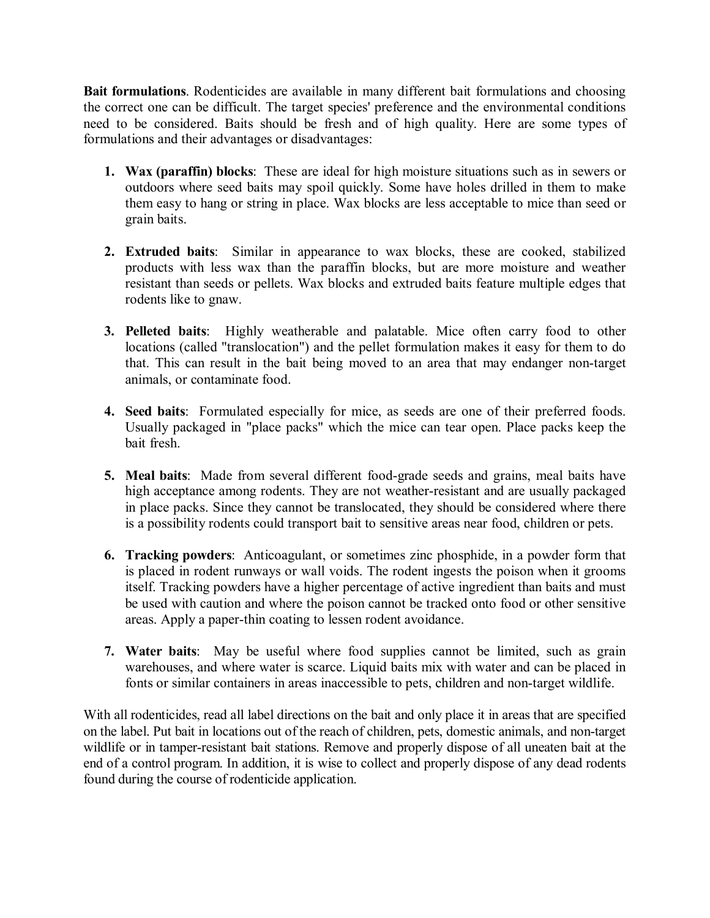**Bait formulations**. Rodenticides are available in many different bait formulations and choosing the correct one can be difficult. The target species' preference and the environmental conditions need to be considered. Baits should be fresh and of high quality. Here are some types of formulations and their advantages or disadvantages:

- **1. Wax (paraffin) blocks**: These are ideal for high moisture situations such as in sewers or outdoors where seed baits may spoil quickly. Some have holes drilled in them to make them easy to hang or string in place. Wax blocks are less acceptable to mice than seed or grain baits.
- **2. Extruded baits**: Similar in appearance to wax blocks, these are cooked, stabilized products with less wax than the paraffin blocks, but are more moisture and weather resistant than seeds or pellets. Wax blocks and extruded baits feature multiple edges that rodents like to gnaw.
- **3. Pelleted baits**: Highly weatherable and palatable. Mice often carry food to other locations (called "translocation") and the pellet formulation makes it easy for them to do that. This can result in the bait being moved to an area that may endanger non-target animals, or contaminate food.
- **4. Seed baits**: Formulated especially for mice, as seeds are one of their preferred foods. Usually packaged in "place packs" which the mice can tear open. Place packs keep the bait fresh.
- **5.** Meal baits: Made from several different food-grade seeds and grains, meal baits have high acceptance among rodents. They are not weather-resistant and are usually packaged in place packs. Since they cannot be translocated, they should be considered where there is a possibility rodents could transport bait to sensitive areas near food, children or pets.
- **6. Tracking powders**: Anticoagulant, or sometimes zinc phosphide, in a powder form that is placed in rodent runways or wall voids. The rodent ingests the poison when it grooms itself. Tracking powders have a higher percentage of active ingredient than baits and must be used with caution and where the poison cannot be tracked onto food or other sensitive areas. Apply a paper-thin coating to lessen rodent avoidance.
- **7. Water baits**: May be useful where food supplies cannot be limited, such as grain warehouses, and where water is scarce. Liquid baits mix with water and can be placed in fonts or similar containers in areas inaccessible to pets, children and non-target wildlife.

With all rodenticides, read all label directions on the bait and only place it in areas that are specified on the label. Put bait in locations out of the reach of children, pets, domestic animals, and nontarget wildlife or in tamper-resistant bait stations. Remove and properly dispose of all uneaten bait at the end of a control program. In addition, it is wise to collect and properly dispose of any dead rodents found during the course of rodenticide application.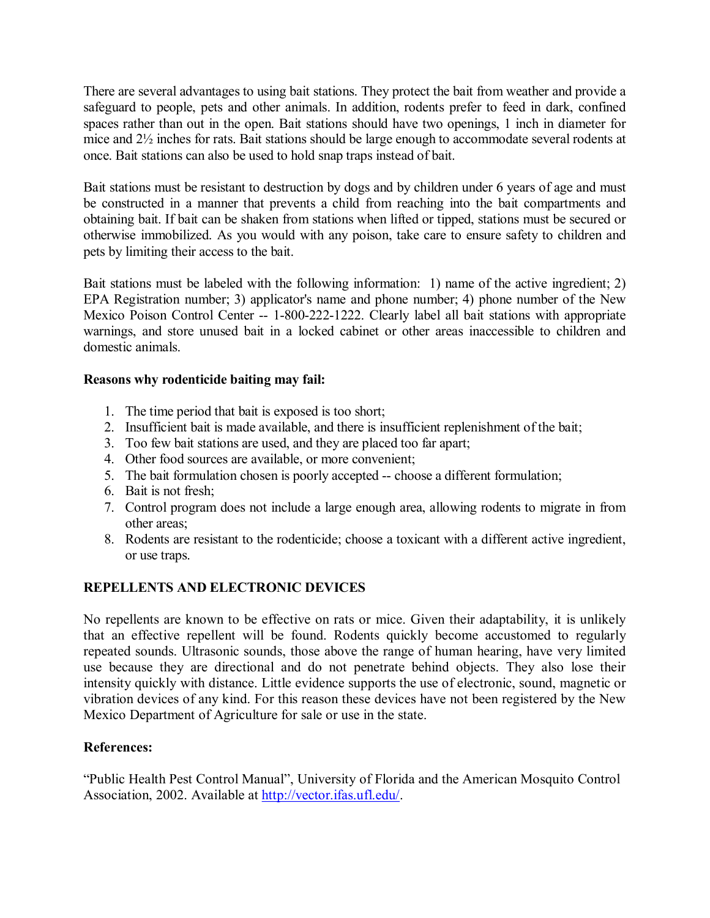There are several advantages to using bait stations. They protect the bait from weather and provide a safeguard to people, pets and other animals. In addition, rodents prefer to feed in dark, confined spaces rather than out in the open. Bait stations should have two openings, 1 inch in diameter for mice and 2½ inches for rats. Bait stations should be large enough to accommodate several rodents at once. Bait stations can also be used to hold snap traps instead of bait.

Bait stations must be resistant to destruction by dogs and by children under 6 years of age and must be constructed in a manner that prevents a child from reaching into the bait compartments and obtaining bait. If bait can be shaken from stations when lifted or tipped, stations must be secured or otherwise immobilized. As you would with any poison, take care to ensure safety to children and pets by limiting their access to the bait.

Bait stations must be labeled with the following information: 1) name of the active ingredient; 2) EPA Registration number; 3) applicator's name and phone number; 4) phone number of the New Mexico Poison Control Center -- 1-800-222-1222. Clearly label all bait stations with appropriate warnings, and store unused bait in a locked cabinet or other areas inaccessible to children and domestic animals.

## **Reasons why rodenticide baiting may fail:**

- 1. The time period that bait is exposed is too short;
- 2. Insufficient bait is made available, and there is insufficient replenishment of the bait;
- 3. Too few bait stations are used, and they are placed too far apart;
- 4. Other food sources are available, or more convenient;
- 5. The bait formulation chosen is poorly accepted -- choose a different formulation;
- 6. Bait is not fresh;
- 7. Control program does not include a large enough area, allowing rodents to migrate in from other areas;
- 8. Rodents are resistant to the rodenticide; choose a toxicant with a different active ingredient, or use traps.

# **REPELLENTS AND ELECTRONIC DEVICES**

No repellents are known to be effective on rats or mice. Given their adaptability, it is unlikely that an effective repellent will be found. Rodents quickly become accustomed to regularly repeated sounds. Ultrasonic sounds, those above the range of human hearing, have very limited use because they are directional and do not penetrate behind objects. They also lose their intensity quickly with distance. Little evidence supports the use of electronic, sound, magnetic or vibration devices of any kind. For this reason these devices have not been registered by the New Mexico Department of Agriculture for sale or use in the state.

## **References:**

"Public Health Pest Control Manual", University of Florida and the American Mosquito Control Association, 2002. Available at [http://vector.ifas.ufl.edu/.](http://vector.ifas.ufl.edu/)